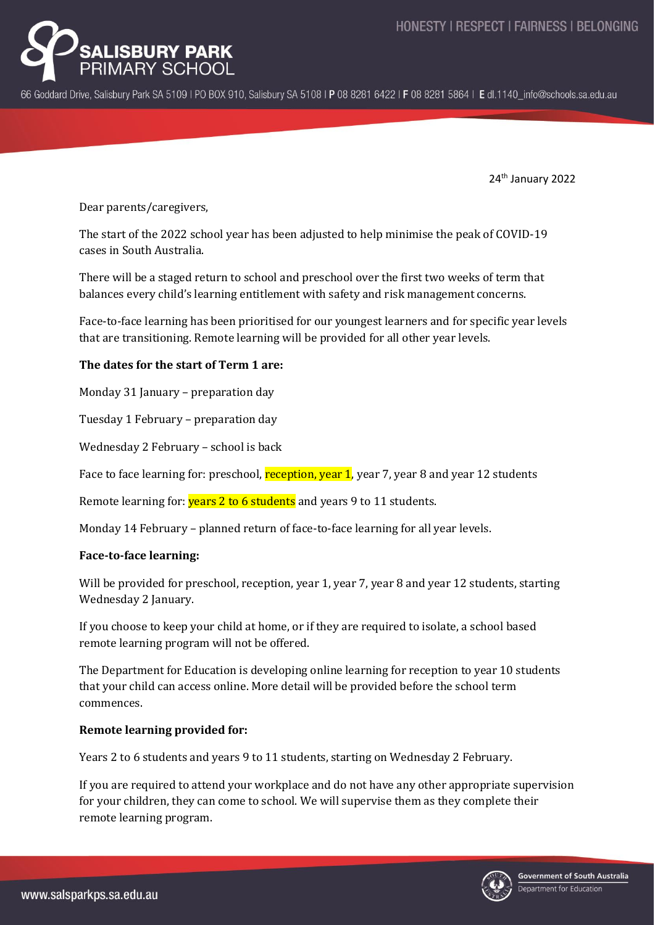

66 Goddard Drive, Salisbury Park SA 5109 | PO BOX 910, Salisbury SA 5108 | P 08 8281 6422 | F 08 8281 5864 | E dl.1140 info@schools.sa.edu.au

24th January 2022

Dear parents/caregivers,

The start of the 2022 school year has been adjusted to help minimise the peak of COVID-19 cases in South Australia.

There will be a staged return to school and preschool over the first two weeks of term that balances every child's learning entitlement with safety and risk management concerns.

Face-to-face learning has been prioritised for our youngest learners and for specific year levels that are transitioning. Remote learning will be provided for all other year levels.

# **The dates for the start of Term 1 are:**

Monday 31 January – preparation day

Tuesday 1 February – preparation day

Wednesday 2 February – school is back

Face to face learning for: preschool, reception, year 1, year 7, year 8 and year 12 students

Remote learning for: **years 2 to 6 students** and years 9 to 11 students.

Monday 14 February – planned return of face-to-face learning for all year levels.

### **Face-to-face learning:**

Will be provided for preschool, reception, year 1, year 7, year 8 and year 12 students, starting Wednesday 2 January.

If you choose to keep your child at home, or if they are required to isolate, a school based remote learning program will not be offered.

The Department for Education is developing online learning for reception to year 10 students that your child can access online. More detail will be provided before the school term commences.

### **Remote learning provided for:**

Years 2 to 6 students and years 9 to 11 students, starting on Wednesday 2 February.

If you are required to attend your workplace and do not have any other appropriate supervision for your children, they can come to school. We will supervise them as they complete their remote learning program.